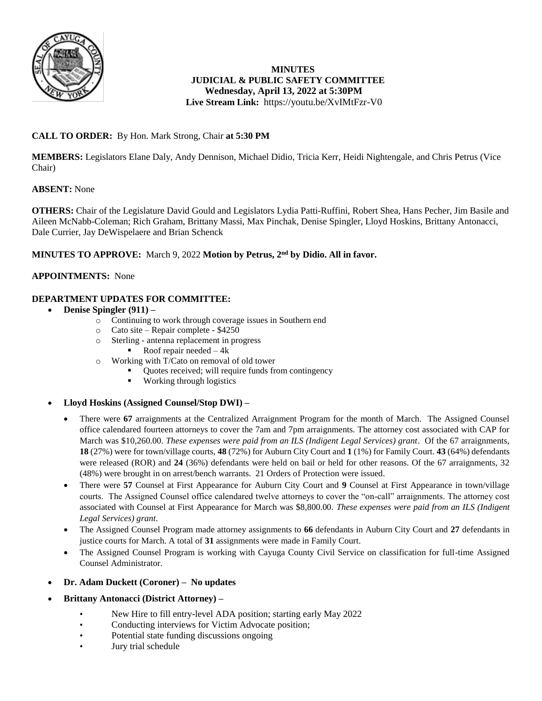

## **MINUTES JUDICIAL & PUBLIC SAFETY COMMITTEE Wednesday, April 13, 2022 at 5:30PM Live Stream Link:** <https://youtu.be/XvIMtFzr-V0>

# **CALL TO ORDER:** By Hon. Mark Strong, Chair **at 5:30 PM**

**MEMBERS:** Legislators Elane Daly, Andy Dennison, Michael Didio, Tricia Kerr, Heidi Nightengale, and Chris Petrus (Vice Chair)

## **ABSENT:** None

**OTHERS:** Chair of the Legislature David Gould and Legislators Lydia Patti-Ruffini, Robert Shea, Hans Pecher, Jim Basile and Aileen McNabb-Coleman; Rich Graham, Brittany Massi, Max Pinchak, Denise Spingler, Lloyd Hoskins, Brittany Antonacci, Dale Currier, Jay DeWispelaere and Brian Schenck

## **MINUTES TO APPROVE:** March 9, 2022 **Motion by Petrus, 2nd by Didio. All in favor.**

### **APPOINTMENTS:** None

## **DEPARTMENT UPDATES FOR COMMITTEE:**

- **Denise Spingler (911) –**
	- o Continuing to work through coverage issues in Southern end
	- o Cato site Repair complete \$4250
	- o Sterling antenna replacement in progress
		- Roof repair needed  $-4k$
	- o Working with T/Cato on removal of old tower
		- Quotes received; will require funds from contingency
		- **Working through logistics**
- **Lloyd Hoskins (Assigned Counsel/Stop DWI) –**
	- There were **67** arraignments at the Centralized Arraignment Program for the month of March. The Assigned Counsel office calendared fourteen attorneys to cover the 7am and 7pm arraignments. The attorney cost associated with CAP for March was \$10,260.00. *These expenses were paid from an ILS (Indigent Legal Services) grant*. Of the 67 arraignments, **18** (27%) were for town/village courts, **48** (72%) for Auburn City Court and **1** (1%) for Family Court. **43** (64%) defendants were released (ROR) and **24** (36%) defendants were held on bail or held for other reasons. Of the 67 arraignments, 32 (48%) were brought in on arrest/bench warrants. 21 Orders of Protection were issued.
	- There were **57** Counsel at First Appearance for Auburn City Court and **9** Counsel at First Appearance in town/village courts. The Assigned Counsel office calendared twelve attorneys to cover the "on-call" arraignments. The attorney cost associated with Counsel at First Appearance for March was \$8,800.00. *These expenses were paid from an ILS (Indigent Legal Services) grant*.
	- The Assigned Counsel Program made attorney assignments to **66** defendants in Auburn City Court and **27** defendants in justice courts for March. A total of **31** assignments were made in Family Court.
	- The Assigned Counsel Program is working with Cayuga County Civil Service on classification for full-time Assigned Counsel Administrator.
- **Dr. Adam Duckett (Coroner) No updates**
- **Brittany Antonacci (District Attorney) –**
	- New Hire to fill entry-level ADA position; starting early May 2022
	- Conducting interviews for Victim Advocate position;
	- Potential state funding discussions ongoing
	- Jury trial schedule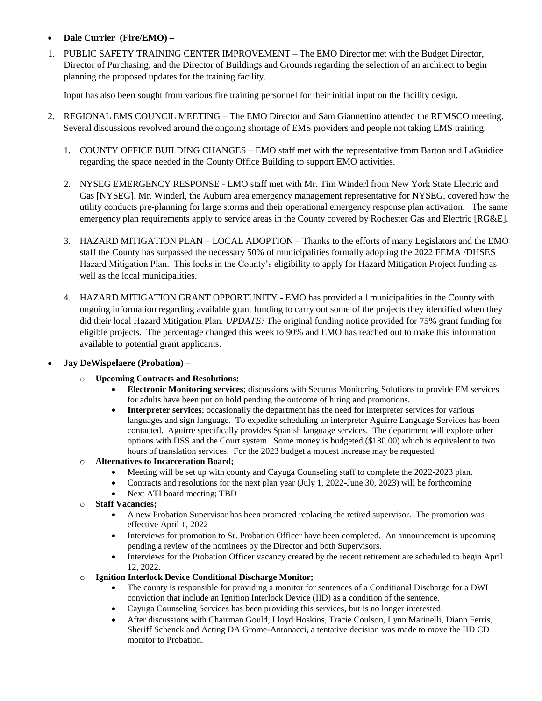- **Dale Currier (Fire/EMO) –**
- 1. PUBLIC SAFETY TRAINING CENTER IMPROVEMENT The EMO Director met with the Budget Director, Director of Purchasing, and the Director of Buildings and Grounds regarding the selection of an architect to begin planning the proposed updates for the training facility.

Input has also been sought from various fire training personnel for their initial input on the facility design.

- 2. REGIONAL EMS COUNCIL MEETING The EMO Director and Sam Giannettino attended the REMSCO meeting. Several discussions revolved around the ongoing shortage of EMS providers and people not taking EMS training.
	- 1. COUNTY OFFICE BUILDING CHANGES EMO staff met with the representative from Barton and LaGuidice regarding the space needed in the County Office Building to support EMO activities.
	- 2. NYSEG EMERGENCY RESPONSE EMO staff met with Mr. Tim Winderl from New York State Electric and Gas [NYSEG]. Mr. Winderl, the Auburn area emergency management representative for NYSEG, covered how the utility conducts pre-planning for large storms and their operational emergency response plan activation. The same emergency plan requirements apply to service areas in the County covered by Rochester Gas and Electric [RG&E].
	- 3. HAZARD MITIGATION PLAN LOCAL ADOPTION Thanks to the efforts of many Legislators and the EMO staff the County has surpassed the necessary 50% of municipalities formally adopting the 2022 FEMA /DHSES Hazard Mitigation Plan. This locks in the County's eligibility to apply for Hazard Mitigation Project funding as well as the local municipalities.
	- 4. HAZARD MITIGATION GRANT OPPORTUNITY EMO has provided all municipalities in the County with ongoing information regarding available grant funding to carry out some of the projects they identified when they did their local Hazard Mitigation Plan. *UPDATE:* The original funding notice provided for 75% grant funding for eligible projects. The percentage changed this week to 90% and EMO has reached out to make this information available to potential grant applicants.
- **Jay DeWispelaere (Probation) –**
	- o **Upcoming Contracts and Resolutions:** 
		- **Electronic Monitoring services**; discussions with Securus Monitoring Solutions to provide EM services for adults have been put on hold pending the outcome of hiring and promotions.
		- **Interpreter services**; occasionally the department has the need for interpreter services for various languages and sign language. To expedite scheduling an interpreter Aguirre Language Services has been contacted. Aguirre specifically provides Spanish language services. The department will explore other options with DSS and the Court system. Some money is budgeted (\$180.00) which is equivalent to two hours of translation services. For the 2023 budget a modest increase may be requested.
	- o **Alternatives to Incarceration Board;**
		- Meeting will be set up with county and Cayuga Counseling staff to complete the 2022-2023 plan.
		- Contracts and resolutions for the next plan year (July 1, 2022-June 30, 2023) will be forthcoming
		- Next ATI board meeting: TBD
	- o **Staff Vacancies;** 
		- A new Probation Supervisor has been promoted replacing the retired supervisor. The promotion was effective April 1, 2022
		- Interviews for promotion to Sr. Probation Officer have been completed. An announcement is upcoming pending a review of the nominees by the Director and both Supervisors.
		- Interviews for the Probation Officer vacancy created by the recent retirement are scheduled to begin April 12, 2022.
	- o **Ignition Interlock Device Conditional Discharge Monitor;**
		- The county is responsible for providing a monitor for sentences of a Conditional Discharge for a DWI conviction that include an Ignition Interlock Device (IID) as a condition of the sentence.
		- Cayuga Counseling Services has been providing this services, but is no longer interested.
		- After discussions with Chairman Gould, Lloyd Hoskins, Tracie Coulson, Lynn Marinelli, Diann Ferris, Sheriff Schenck and Acting DA Grome-Antonacci, a tentative decision was made to move the IID CD monitor to Probation.